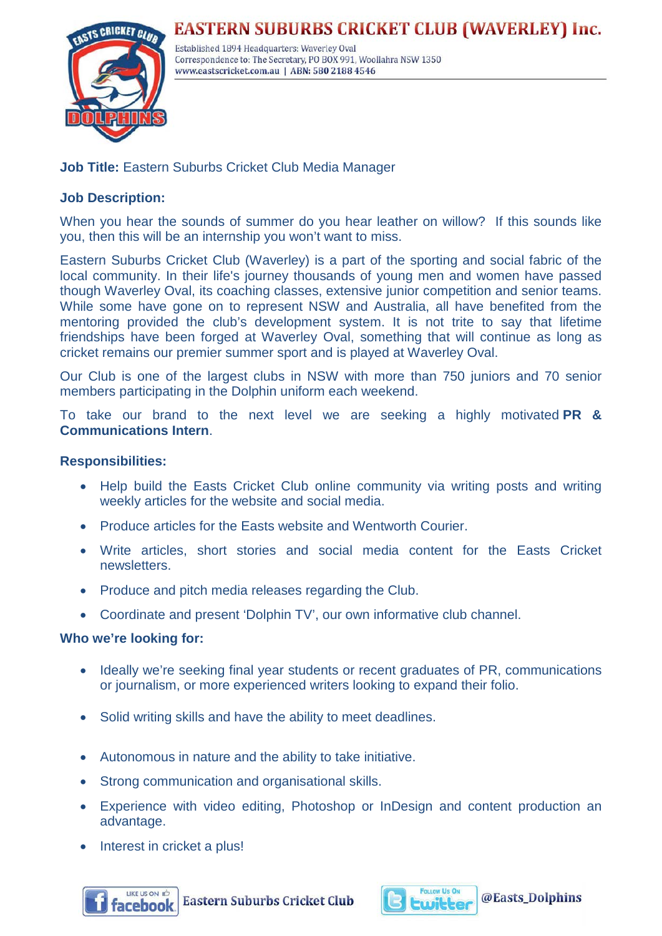## **EASTERN SUBURBS CRICKET CLUB (WAVERLEY) Inc.**



Established 1894 Headquarters: Waverley Oval Correspondence to: The Secretary, PO BOX 991, Woollahra NSW 1350 www.eastscricket.com.au | ABN: 580 2188 4546

## **Job Title:** Eastern Suburbs Cricket Club Media Manager

### **Job Description:**

When you hear the sounds of summer do you hear leather on willow? If this sounds like you, then this will be an internship you won't want to miss.

Eastern Suburbs Cricket Club (Waverley) is a part of the sporting and social fabric of the local community. In their life's journey thousands of young men and women have passed though Waverley Oval, its coaching classes, extensive junior competition and senior teams. While some have gone on to represent NSW and Australia, all have benefited from the mentoring provided the club's development system. It is not trite to say that lifetime friendships have been forged at Waverley Oval, something that will continue as long as cricket remains our premier summer sport and is played at Waverley Oval.

Our Club is one of the largest clubs in NSW with more than 750 juniors and 70 senior members participating in the Dolphin uniform each weekend.

To take our brand to the next level we are seeking a highly motivated **PR & Communications Intern**.

#### **Responsibilities:**

- Help build the Easts Cricket Club online community via writing posts and writing weekly articles for the website and social media.
- Produce articles for the Easts website and Wentworth Courier.
- Write articles, short stories and social media content for the Easts Cricket newsletters.
- Produce and pitch media releases regarding the Club.
- Coordinate and present 'Dolphin TV', our own informative club channel.

#### **Who we're looking for:**

- Ideally we're seeking final year students or recent graduates of PR, communications or journalism, or more experienced writers looking to expand their folio.
- Solid writing skills and have the ability to meet deadlines.
- Autonomous in nature and the ability to take initiative.
- Strong communication and organisational skills.
- Experience with video editing, Photoshop or InDesign and content production an advantage.
- Interest in cricket a plus!